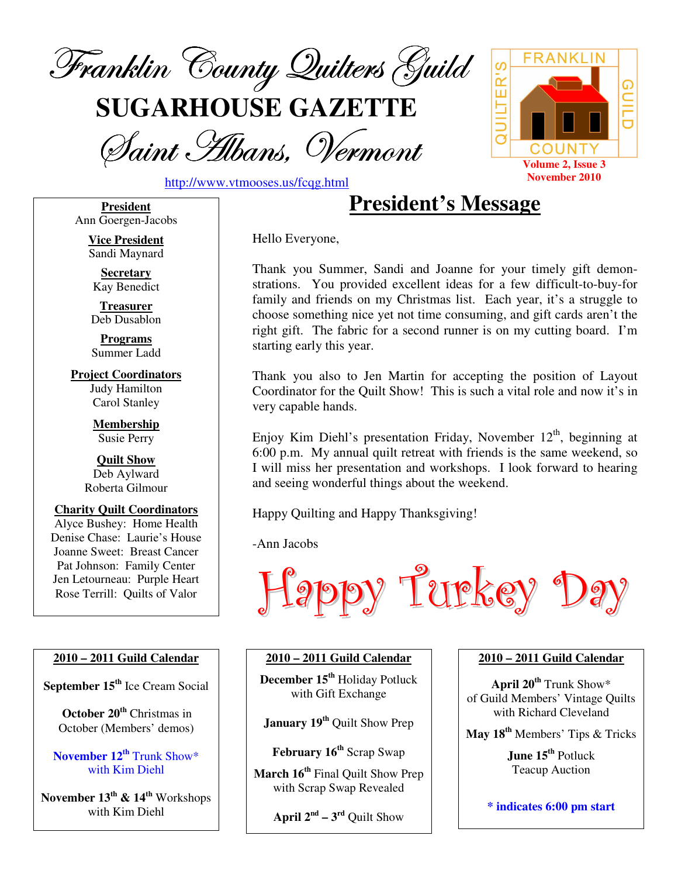

**SUGARHOUSE GAZETTE**

Saint Albans, Vermont



http://www.vtmooses.us/fcqg.html

**President** Ann Goergen-Jacobs

> **Vice President** Sandi Maynard

**Secretary** Kay Benedict

**Treasurer** Deb Dusablon

**Programs** Summer Ladd

**Project Coordinators** Judy Hamilton Carol Stanley

> **Membership** Susie Perry

**Quilt Show** Deb Aylward Roberta Gilmour

**Charity Quilt Coordinators** Alyce Bushey: Home Health Denise Chase: Laurie's House Joanne Sweet: Breast Cancer Pat Johnson: Family Center Jen Letourneau: Purple Heart Rose Terrill: Quilts of Valor

#### **2010 – 2011 Guild Calendar**

**September 15 th** Ice Cream Social

**October 20 th** Christmas in October (Members' demos)

**November 12 th** Trunk Show\* with Kim Diehl

**November 13 th & 14 th** Workshops with Kim Diehl

**President's Message**

Hello Everyone,

Thank you Summer, Sandi and Joanne for your timely gift demonstrations. You provided excellent ideas for a few difficult-to-buy-for family and friends on my Christmas list. Each year, it's a struggle to choose something nice yet not time consuming, and gift cards aren't the right gift. The fabric for a second runner is on my cutting board. I'm starting early this year.

Thank you also to Jen Martin for accepting the position of Layout Coordinator for the Quilt Show! This is such a vital role and now it's in very capable hands.

Enjoy Kim Diehl's presentation Friday, November 12<sup>th</sup>, beginning at 6:00 p.m. My annual quilt retreat with friends is the same weekend, so I will miss her presentation and workshops. I look forward to hearing and seeing wonderful things about the weekend.

Happy Quilting and Happy Thanksgiving!

-Ann Jacobs



#### **2010 – 2011 Guild Calendar**

**December 15 th** Holiday Potluck with Gift Exchange

**January 19 th** Quilt Show Prep

**February 16 th** Scrap Swap

**March 16 th** Final Quilt Show Prep with Scrap Swap Revealed

**April**  $2^{nd} - 3^{rd}$  Quilt Show

#### **2010 – 2011 Guild Calendar**

**April 20 th** Trunk Show\* of Guild Members' Vintage Quilts with Richard Cleveland

**May 18 th** Members' Tips & Tricks

**June 15 th** Potluck Teacup Auction

**\* indicates 6:00 pm start**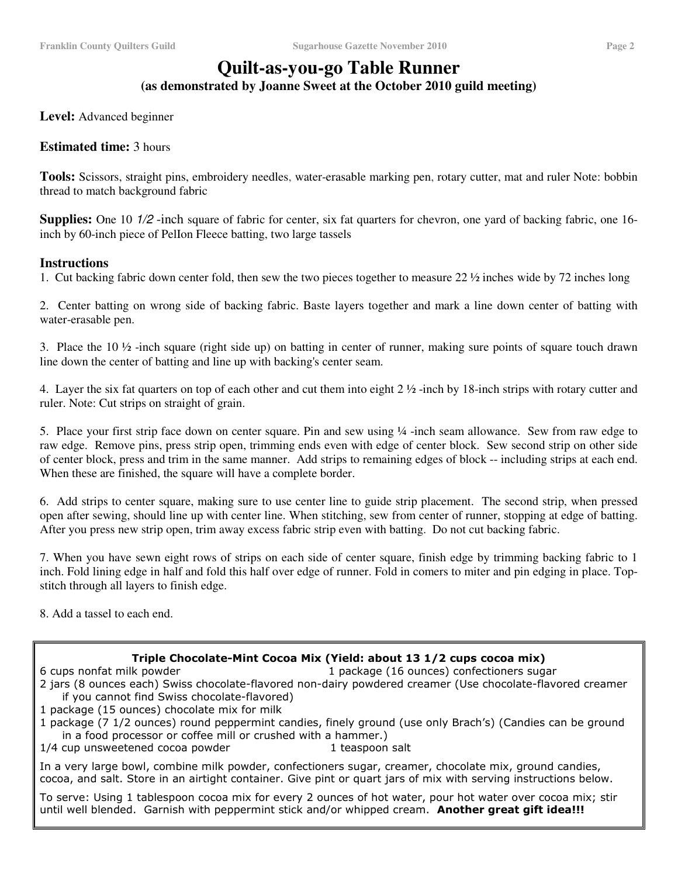# **Quilt-as-you-go Table Runner**

**(as demonstrated by Joanne Sweet at the October 2010 guild meeting)**

**Level:** Advanced beginner

#### **Estimated time:** 3 hours

**Tools:** Scissors, straight pins, embroidery needles, water-erasable marking pen, rotary cutter, mat and ruler Note: bobbin thread to match background fabric

**Supplies:** One 10  $1/2$  -inch square of fabric for center, six fat quarters for chevron, one yard of backing fabric, one 16inch by 60-inch piece of PelIon Fleece batting, two large tassels

#### **Instructions**

1. Cut backing fabric down center fold, then sew the two pieces together to measure 22 ½ inches wide by 72 inches long

2. Center batting on wrong side of backing fabric. Baste layers together and mark a line down center of batting with water-erasable pen.

3. Place the  $10\frac{1}{2}$ -inch square (right side up) on batting in center of runner, making sure points of square touch drawn line down the center of batting and line up with backing's center seam.

4. Layer the six fat quarters on top of each other and cut them into eight 2 ½ -inch by 18-inch strips with rotary cutter and ruler. Note: Cut strips on straight of grain.

5. Place your first strip face down on center square. Pin and sew using ¼ -inch seam allowance. Sew from raw edge to raw edge. Remove pins, press strip open, trimming ends even with edge of center block. Sew second strip on other side of center block, press and trim in the same manner. Add strips to remaining edges of block -- including strips at each end. When these are finished, the square will have a complete border.

6. Add strips to center square, making sure to use center line to guide strip placement. The second strip, when pressed open after sewing, should line up with center line. When stitching, sew from center of runner, stopping at edge of batting. After you press new strip open, trim away excess fabric strip even with batting. Do not cut backing fabric.

7. When you have sewn eight rows of strips on each side of center square, finish edge by trimming backing fabric to 1 inch. Fold lining edge in half and fold this half over edge of runner. Fold in comers to miter and pin edging in place. Topstitch through all layers to finish edge.

8. Add a tassel to each end.

#### Triple Chocolate-Mint Cocoa Mix (Yield: about 13 1/2 cups cocoa mix)

6 cups nonfat milk powder that the same state of the 1 part of 1 part of 1 part of 1 part of 1 part of 1 part ckage (16 ounces) confectioners sugar

- 2 jars (8 ounces each) Swiss chocolate-flavored non-dairy powdered creamer (Use chocolate-flavored creamer if you cannot find Swiss chocolate-flavored)
- 1 package (15 ounces) chocolate mix for milk
- 1 package (7 1/2 ounces) round peppermint candies, finely ground (use only Brach's) (Candies can be ground in a food processor or coffee mill or crushed with a hammer.)

1/4 cup unsweetened cocoa powder the same states of the 1 tea spoon salt

In a very large bowl, combine milk powder, confectioners sugar, creamer, chocolate mix, ground candies, cocoa, and salt. Store in an airtight container. Give pint or quart jars of mix with serving instructions below.

To serve: Using 1 tablespoon cocoa mix for every 2 ounces of hot water, pour hot water over cocoa mix; stir until well blended. Garnish with peppermint stick and/or whipped cream. Another great gift idea!!!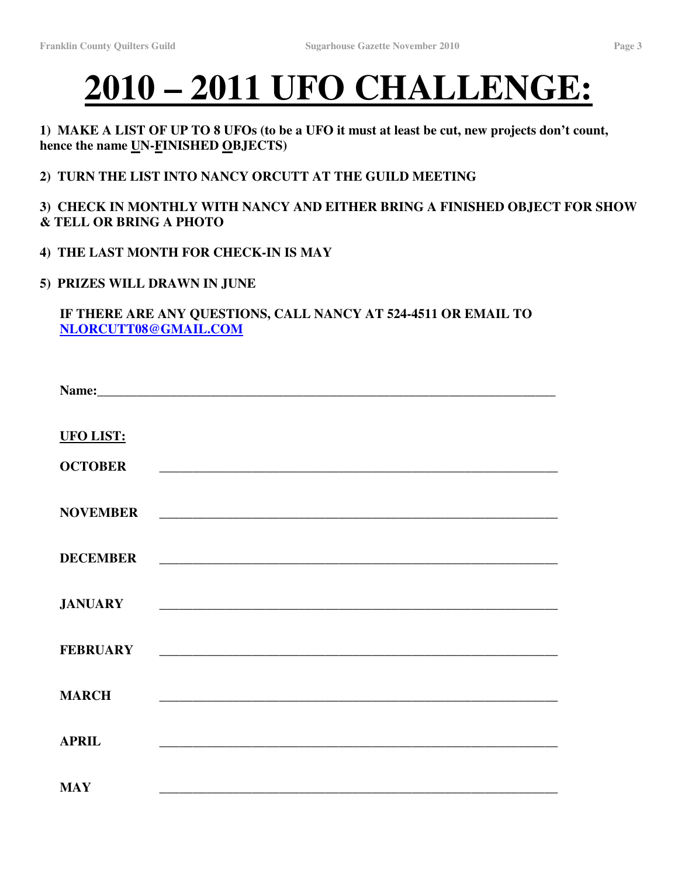# **2010 – 2011 UFO CHALLENGE:**

## 1) MAKE A LIST OF UP TO 8 UFOs (to be a UFO it must at least be cut, new projects don't count, **hence the name UN-FINISHED OBJECTS)**

# **2) TURN THE LIST INTO NANCY ORCUTT AT THE GUILD MEETING**

# **3) CHECK IN MONTHLY WITH NANCY AND EITHER BRING A FINISHED OBJECT FOR SHOW & TELL OR BRING A PHOTO**

**4) THE LAST MONTH FOR CHECK-IN IS MAY**

#### **5) PRIZES WILL DRAWN IN JUNE**

# **IF THERE ARE ANY QUESTIONS, CALL NANCY AT 524-4511 OR EMAIL TO NLORCUTT08@GMAIL.COM**

| <b>UFO LIST:</b> |                                                                                                                      |
|------------------|----------------------------------------------------------------------------------------------------------------------|
| <b>OCTOBER</b>   |                                                                                                                      |
| <b>NOVEMBER</b>  |                                                                                                                      |
| <b>DECEMBER</b>  |                                                                                                                      |
| <b>JANUARY</b>   |                                                                                                                      |
| <b>FEBRUARY</b>  | <u> 2000 - Jan James James Barnett, amerikan basar pada 2000 - peristiwa personal personal personal personal per</u> |
| <b>MARCH</b>     |                                                                                                                      |
| <b>APRIL</b>     |                                                                                                                      |
| <b>MAY</b>       |                                                                                                                      |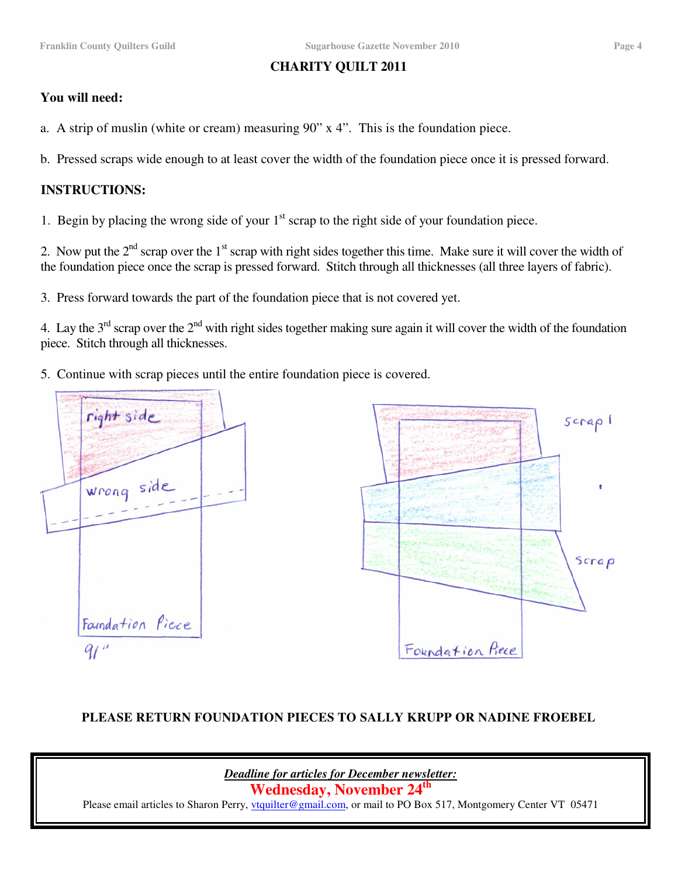# **CHARITY QUILT 2011**

## **You will need:**

a. A strip of muslin (white or cream) measuring 90" x 4". This is the foundation piece.

b. Pressed scraps wide enough to at least cover the width of the foundation piece once it is pressed forward.

### **INSTRUCTIONS:**

1. Begin by placing the wrong side of your 1<sup>st</sup> scrap to the right side of your foundation piece.

2. Now put the  $2<sup>nd</sup>$  scrap over the 1<sup>st</sup> scrap with right sides together this time. Make sure it will cover the width of the foundation piece once the scrap is pressed forward. Stitch through all thicknesses (all three layers of fabric).

3. Press forward towards the part of the foundation piece that is not covered yet.

4. Lay the 3<sup>rd</sup> scrap over the 2<sup>nd</sup> with right sides together making sure again it will cover the width of the foundation piece. Stitch through all thicknesses.

5. Continue with scrap pieces until the entire foundation piece is covered.



## **PLEASE RETURN FOUNDATION PIECES TO SALLY KRUPP OR NADINE FROEBEL**

*Deadline for articles for December newsletter:*

**Wednesday, November 24 th**

Please email articles to Sharon Perry, *ytquilter@gmail.com*, or mail to PO Box 517, Montgomery Center VT 05471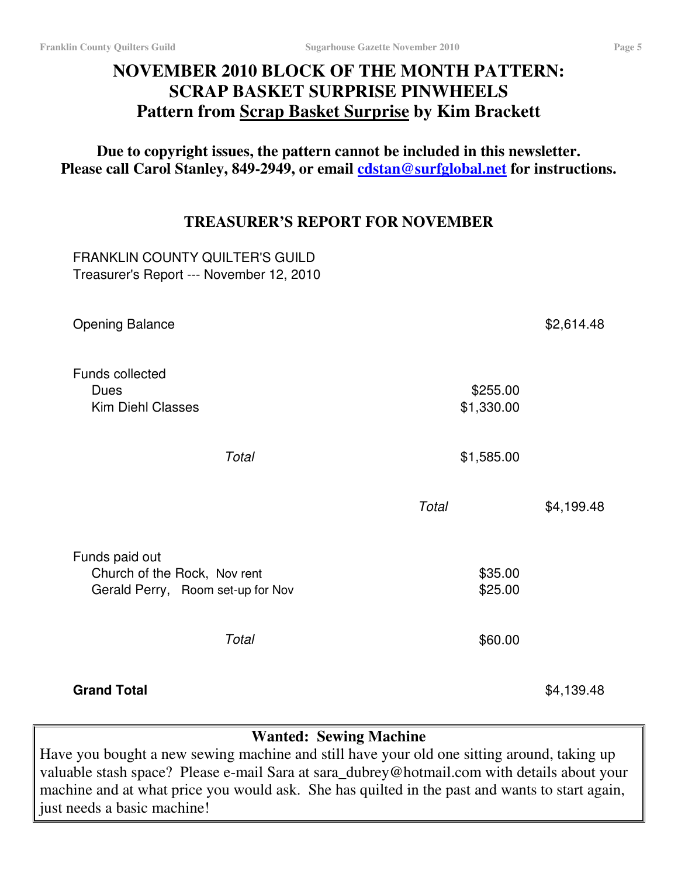# **NOVEMBER 2010 BLOCK OF THE MONTH PATTERN: SCRAP BASKET SURPRISE PINWHEELS Pattern from Scrap Basket Surprise by Kim Brackett**

**Due to copyright issues, the pattern cannot be included in this newsletter. Please call Carol Stanley, 849-2949, or email cdstan@surfglobal.net for instructions.**

# **TREASURER'S REPORT FOR NOVEMBER**

FRANKLIN COUNTY QUILTER'S GUILD Treasurer's Report --- November 12, 2010

| <b>Opening Balance</b>                                                              |                        | \$2,614.48 |
|-------------------------------------------------------------------------------------|------------------------|------------|
| <b>Funds collected</b><br><b>Dues</b><br><b>Kim Diehl Classes</b>                   | \$255.00<br>\$1,330.00 |            |
| Total                                                                               | \$1,585.00             |            |
|                                                                                     | Total                  | \$4,199.48 |
| Funds paid out<br>Church of the Rock, Nov rent<br>Gerald Perry, Room set-up for Nov | \$35.00<br>\$25.00     |            |
| Total                                                                               | \$60.00                |            |
| <b>Grand Total</b>                                                                  |                        | \$4,139.48 |

# **Wanted: Sewing Machine**

Have you bought a new sewing machine and still have your old one sitting around, taking up valuable stash space? Please e-mail Sara at sara\_dubrey@hotmail.com with details about your machine and at what price you would ask. She has quilted in the past and wants to start again, just needs a basic machine!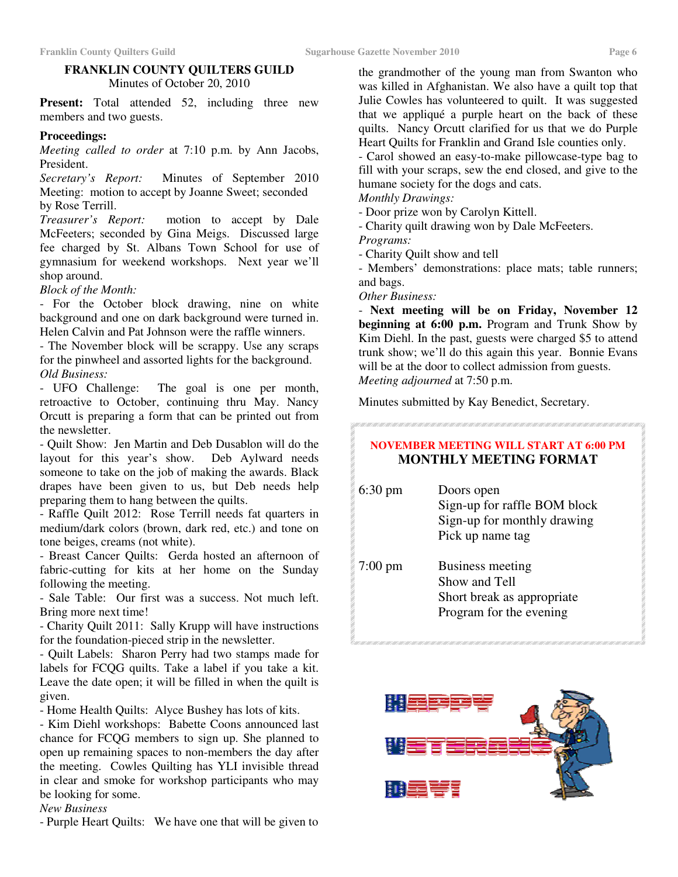#### **FRANKLIN COUNTY QUILTERS GUILD** Minutes of October 20, 2010

**Present:** Total attended 52, including three new members and two guests.

#### **Proceedings:**

*Meeting called to order* at 7:10 p.m. by Ann Jacobs, President.

*Secretary's Report:* Minutes of September 2010 Meeting: motion to accept by Joanne Sweet; seconded by Rose Terrill.

*Treasurer's Report:* motion to accept by Dale McFeeters; seconded by Gina Meigs. Discussed large fee charged by St. Albans Town School for use of gymnasium for weekend workshops. Next year we'll shop around.

*Block of the Month:*

- For the October block drawing, nine on white background and one on dark background were turned in. Helen Calvin and Pat Johnson were the raffle winners.

- The November block will be scrappy. Use any scraps for the pinwheel and assorted lights for the background. *Old Business:*

- UFO Challenge: The goal is one per month, retroactive to October, continuing thru May. Nancy Orcutt is preparing a form that can be printed out from the newsletter.

- Quilt Show: Jen Martin and Deb Dusablon will do the layout for this year's show. Deb Aylward needs someone to take on the job of making the awards. Black drapes have been given to us, but Deb needs help preparing them to hang between the quilts.

- Raffle Quilt 2012: Rose Terrill needs fat quarters in medium/dark colors (brown, dark red, etc.) and tone on tone beiges, creams (not white).

- Breast Cancer Quilts: Gerda hosted an afternoon of fabric-cutting for kits at her home on the Sunday following the meeting.

- Sale Table: Our first was a success. Not much left. Bring more next time!

- Charity Quilt 2011: Sally Krupp will have instructions for the foundation-pieced strip in the newsletter.

- Quilt Labels: Sharon Perry had two stamps made for labels for FCQG quilts. Take a label if you take a kit. Leave the date open; it will be filled in when the quilt is given.

- Home Health Quilts: Alyce Bushey has lots of kits.

- Kim Diehl workshops: Babette Coons announced last chance for FCQG members to sign up. She planned to open up remaining spaces to non-members the day after the meeting. Cowles Quilting has YLI invisible thread in clear and smoke for workshop participants who may be looking for some.

#### *New Business*

- Purple Heart Quilts: We have one that will be given to

the grandmother of the young man from Swanton who was killed in Afghanistan. We also have a quilt top that Julie Cowles has volunteered to quilt. It was suggested that we appliqué a purple heart on the back of these quilts. Nancy Orcutt clarified for us that we do Purple Heart Quilts for Franklin and Grand Isle counties only.

- Carol showed an easy-to-make pillowcase-type bag to fill with your scraps, sew the end closed, and give to the humane society for the dogs and cats.

*Monthly Drawings:*

- Door prize won by Carolyn Kittell.

- Charity quilt drawing won by Dale McFeeters.

*Programs:*

- Charity Quilt show and tell

- Members' demonstrations: place mats; table runners; and bags.

*Other Business:*

- **Next meeting will be on Friday, November 12 beginning at 6:00 p.m.** Program and Trunk Show by Kim Diehl. In the past, guests were charged \$5 to attend trunk show; we'll do this again this year. Bonnie Evans will be at the door to collect admission from guests. *Meeting adjourned* at 7:50 p.m.

Minutes submitted by Kay Benedict, Secretary.

#### **NOVEMBER MEETING WILL START AT 6:00 PM MONTHLY MEETING FORMAT**

| $6:30 \text{ pm}$ | Doors open<br>Sign-up for raffle BOM block<br>Sign-up for monthly drawing<br>Pick up name tag |
|-------------------|-----------------------------------------------------------------------------------------------|
| $7:00 \text{ pm}$ | Business meeting<br>Show and Tell<br>Short break as appropriate<br>Program for the evening    |